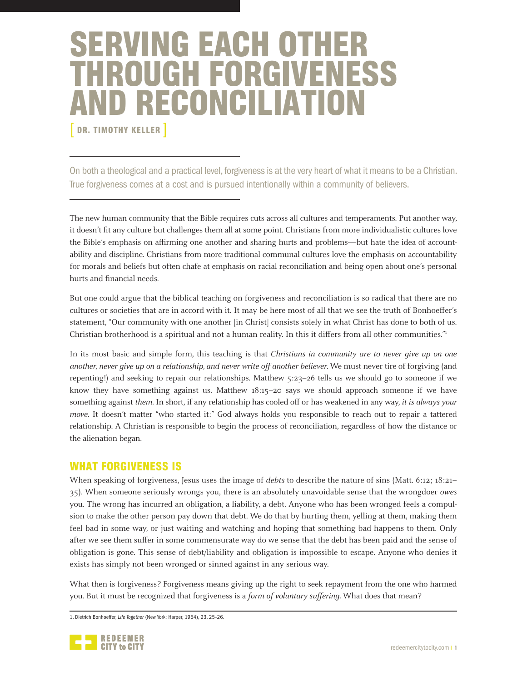# SERVING EACH OTHER THROUGH FORGIVENESS AND RECONCILIATION

DR. TIMOTHY KELLER ]

On both a theological and a practical level, forgiveness is at the very heart of what it means to be a Christian. True forgiveness comes at a cost and is pursued intentionally within a community of believers.

The new human community that the Bible requires cuts across all cultures and temperaments. Put another way, it doesn't fit any culture but challenges them all at some point. Christians from more individualistic cultures love the Bible's emphasis on affirming one another and sharing hurts and problems—but hate the idea of accountability and discipline. Christians from more traditional communal cultures love the emphasis on accountability for morals and beliefs but often chafe at emphasis on racial reconciliation and being open about one's personal hurts and financial needs.

But one could argue that the biblical teaching on forgiveness and reconciliation is so radical that there are no cultures or societies that are in accord with it. It may be here most of all that we see the truth of Bonhoeffer's statement, "Our community with one another [in Christ] consists solely in what Christ has done to both of us. Christian brotherhood is a spiritual and not a human reality. In this it differs from all other communities."<sup>1</sup>

In its most basic and simple form, this teaching is that Christians in community are to never give up on one another, never give up on a relationship, and never write off another believer. We must never tire of forgiving (and repenting!) and seeking to repair our relationships. Matthew 5:23–26 tells us we should go to someone if we know they have something against us. Matthew 18:15–20 says we should approach someone if we have something against them. In short, if any relationship has cooled off or has weakened in any way, it is always your move. It doesn't matter "who started it:" God always holds you responsible to reach out to repair a tattered relationship. A Christian is responsible to begin the process of reconciliation, regardless of how the distance or the alienation began.

## WHAT FORGIVENESS IS

When speaking of forgiveness, Jesus uses the image of *debts* to describe the nature of sins (Matt. 6:12; 18:21– 35). When someone seriously wrongs you, there is an absolutely unavoidable sense that the wrongdoer owes you. The wrong has incurred an obligation, a liability, a debt. Anyone who has been wronged feels a compulsion to make the other person pay down that debt. We do that by hurting them, yelling at them, making them feel bad in some way, or just waiting and watching and hoping that something bad happens to them. Only after we see them suffer in some commensurate way do we sense that the debt has been paid and the sense of obligation is gone. This sense of debt/liability and obligation is impossible to escape. Anyone who denies it exists has simply not been wronged or sinned against in any serious way.

What then is forgiveness? Forgiveness means giving up the right to seek repayment from the one who harmed you. But it must be recognized that forgiveness is a form of voluntary suffering. What does that mean?

1. Dietrich Bonhoeffer, *Life Together* (New York: Harper, 1954), 23, 25–26.

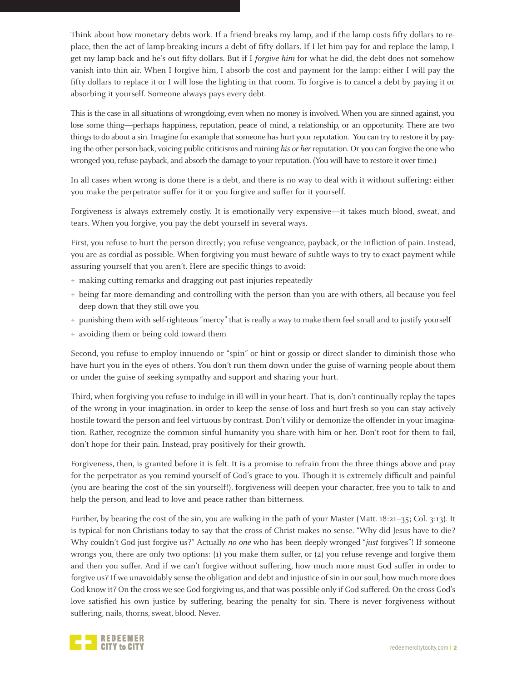Think about how monetary debts work. If a friend breaks my lamp, and if the lamp costs fifty dollars to replace, then the act of lamp-breaking incurs a debt of fifty dollars. If I let him pay for and replace the lamp, I get my lamp back and he's out fifty dollars. But if I forgive him for what he did, the debt does not somehow vanish into thin air. When I forgive him, I absorb the cost and payment for the lamp: either I will pay the fifty dollars to replace it or I will lose the lighting in that room. To forgive is to cancel a debt by paying it or absorbing it yourself. Someone always pays every debt.

This is the case in all situations of wrongdoing, even when no money is involved. When you are sinned against, you lose some thing—perhaps happiness, reputation, peace of mind, a relationship, or an opportunity. There are two things to do about a sin. Imagine for example that someone has hurt your reputation. You can try to restore it by paying the other person back, voicing public criticisms and ruining his or her reputation. Or you can forgive the one who wronged you, refuse payback, and absorb the damage to your reputation. (You will have to restore it over time.)

In all cases when wrong is done there is a debt, and there is no way to deal with it without suffering: either you make the perpetrator suffer for it or you forgive and suffer for it yourself.

Forgiveness is always extremely costly. It is emotionally very expensive—it takes much blood, sweat, and tears. When you forgive, you pay the debt yourself in several ways.

First, you refuse to hurt the person directly; you refuse vengeance, payback, or the infliction of pain. Instead, you are as cordial as possible. When forgiving you must beware of subtle ways to try to exact payment while assuring yourself that you aren't. Here are specific things to avoid:

- **+** making cutting remarks and dragging out past injuries repeatedly
- **+** being far more demanding and controlling with the person than you are with others, all because you feel deep down that they still owe you
- **+** punishing them with self-righteous "mercy" that is really a way to make them feel small and to justify yourself
- **+** avoiding them or being cold toward them

Second, you refuse to employ innuendo or "spin" or hint or gossip or direct slander to diminish those who have hurt you in the eyes of others. You don't run them down under the guise of warning people about them or under the guise of seeking sympathy and support and sharing your hurt.

Third, when forgiving you refuse to indulge in ill-will in your heart. That is, don't continually replay the tapes of the wrong in your imagination, in order to keep the sense of loss and hurt fresh so you can stay actively hostile toward the person and feel virtuous by contrast. Don't vilify or demonize the offender in your imagination. Rather, recognize the common sinful humanity you share with him or her. Don't root for them to fail, don't hope for their pain. Instead, pray positively for their growth.

Forgiveness, then, is granted before it is felt. It is a promise to refrain from the three things above and pray for the perpetrator as you remind yourself of God's grace to you. Though it is extremely difficult and painful (you are bearing the cost of the sin yourself!), forgiveness will deepen your character, free you to talk to and help the person, and lead to love and peace rather than bitterness.

Further, by bearing the cost of the sin, you are walking in the path of your Master (Matt. 18:21–35; Col. 3:13). It is typical for non-Christians today to say that the cross of Christ makes no sense. "Why did Jesus have to die? Why couldn't God just forgive us?" Actually no one who has been deeply wronged "just forgives"! If someone wrongs you, there are only two options: (1) you make them suffer, or (2) you refuse revenge and forgive them and then you suffer. And if we can't forgive without suffering, how much more must God suffer in order to forgive us? If we unavoidably sense the obligation and debt and injustice of sin in our soul, how much more does God know it? On the cross we see God forgiving us, and that was possible only if God suffered. On the cross God's love satisfied his own justice by suffering, bearing the penalty for sin. There is never forgiveness without suffering, nails, thorns, sweat, blood. Never.

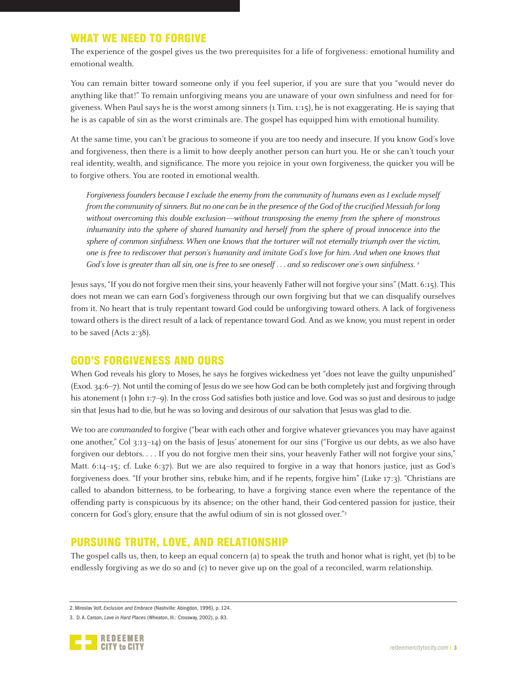# WHAT WE NEED TO FORGIVE

The experience of the gospel gives us the two prerequisites for a life of forgiveness: emotional humility and emotional wealth.

You can remain bitter toward someone only if you feel superior, if you are sure that you "would never do anything like that!" To remain unforgiving means you are unaware of your own sinfulness and need for forgiveness. When Paul says he is the worst among sinners (1 Tim. 1:15), he is not exaggerating. He is saying that he is as capable of sin as the worst criminals are. The gospel has equipped him with emotional humility.

At the same time, you can't be gracious to someone if you are too needy and insecure. If you know God's love and forgiveness, then there is a limit to how deeply another person can hurt you. He or she can't touch your real identity, wealth, and significance. The more you rejoice in your own forgiveness, the quicker you will be to forgive others. You are rooted in emotional wealth.

Forgiveness founders because I exclude the enemy from the community of humans even as I exclude myself from the community of sinners. But no one can be in the presence of the God of the crucified Messiah for long without overcoming this double exclusion—without transposing the enemy from the sphere of monstrous inhumanity into the sphere of shared humanity and herself from the sphere of proud innocence into the sphere of common sinfulness. When one knows that the torturer will not eternally triumph over the victim, one is free to rediscover that person's humanity and imitate God's love for him. And when one knows that God's love is greater than all sin, one is free to see oneself . . . and so rediscover one's own sinfulness. <sup>2</sup>

Jesus says, "If you do not forgive men their sins, your heavenly Father will not forgive your sins" (Matt. 6:15). This does not mean we can earn God's forgiveness through our own forgiving but that we can disqualify ourselves from it. No heart that is truly repentant toward God could be unforgiving toward others. A lack of forgiveness toward others is the direct result of a lack of repentance toward God. And as we know, you must repent in order to be saved (Acts 2:38).

## GOD'S FORGIVENESS AND OURS

When God reveals his glory to Moses, he says he forgives wickedness yet "does not leave the guilty unpunished" (Exod. 34:6–7). Not until the coming of Jesus do we see how God can be both completely just and forgiving through his atonement (1 John 1:7–9). In the cross God satisfies both justice and love. God was so just and desirous to judge sin that Jesus had to die, but he was so loving and desirous of our salvation that Jesus was glad to die.

We too are *commanded* to forgive ("bear with each other and forgive whatever grievances you may have against one another," Col 3:13–14) on the basis of Jesus' atonement for our sins ("Forgive us our debts, as we also have forgiven our debtors. . . . If you do not forgive men their sins, your heavenly Father will not forgive your sins," Matt. 6:14–15; cf. Luke 6:37). But we are also required to forgive in a way that honors justice, just as God's forgiveness does. "If your brother sins, rebuke him, and if he repents, forgive him" (Luke 17:3). "Christians are called to abandon bitterness, to be forbearing, to have a forgiving stance even where the repentance of the offending party is conspicuous by its absence; on the other hand, their God-centered passion for justice, their concern for God's glory, ensure that the awful odium of sin is not glossed over."3

# PURSUING TRUTH, LOVE, AND RELATIONSHIP

The gospel calls us, then, to keep an equal concern (a) to speak the truth and honor what is right, yet (b) to be endlessly forgiving as we do so and (c) to never give up on the goal of a reconciled, warm relationship.

<sup>3.</sup> D. A. Carson, *Love in Hard Places* (Wheaton, Ill.: Crossway, 2002), p. 83.



<sup>2.</sup> Miroslav Volf, *Exclusion and Embrace* (Nashville: Abingdon, 1996), p. 124.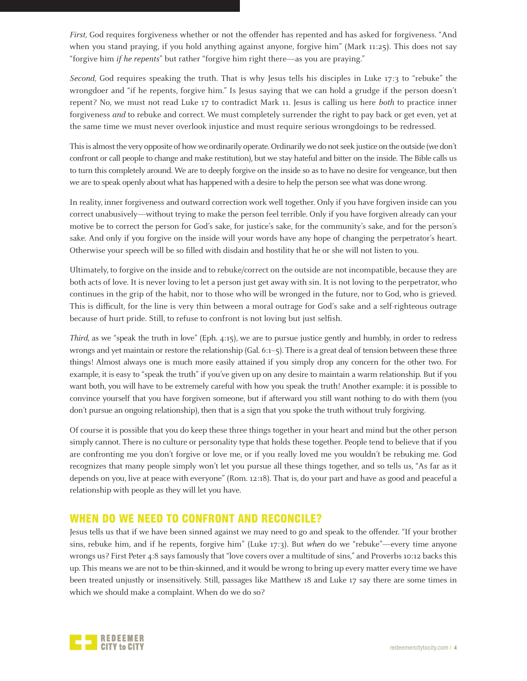First, God requires forgiveness whether or not the offender has repented and has asked for forgiveness. "And when you stand praying, if you hold anything against anyone, forgive him" (Mark 11:25). This does not say "forgive him if he repents" but rather "forgive him right there—as you are praying."

Second, God requires speaking the truth. That is why Jesus tells his disciples in Luke 17:3 to "rebuke" the wrongdoer and "if he repents, forgive him." Is Jesus saying that we can hold a grudge if the person doesn't repent? No, we must not read Luke 17 to contradict Mark 11. Jesus is calling us here both to practice inner forgiveness and to rebuke and correct. We must completely surrender the right to pay back or get even, yet at the same time we must never overlook injustice and must require serious wrongdoings to be redressed.

This is almost the very opposite of how we ordinarily operate. Ordinarily we do not seek justice on the outside (we don't confront or call people to change and make restitution), but we stay hateful and bitter on the inside. The Bible calls us to turn this completely around. We are to deeply forgive on the inside so as to have no desire for vengeance, but then we are to speak openly about what has happened with a desire to help the person see what was done wrong.

In reality, inner forgiveness and outward correction work well together. Only if you have forgiven inside can you correct unabusively—without trying to make the person feel terrible. Only if you have forgiven already can your motive be to correct the person for God's sake, for justice's sake, for the community's sake, and for the person's sake. And only if you forgive on the inside will your words have any hope of changing the perpetrator's heart. Otherwise your speech will be so filled with disdain and hostility that he or she will not listen to you.

Ultimately, to forgive on the inside and to rebuke/correct on the outside are not incompatible, because they are both acts of love. It is never loving to let a person just get away with sin. It is not loving to the perpetrator, who continues in the grip of the habit, nor to those who will be wronged in the future, nor to God, who is grieved. This is difficult, for the line is very thin between a moral outrage for God's sake and a self-righteous outrage because of hurt pride. Still, to refuse to confront is not loving but just selfish.

Third, as we "speak the truth in love" (Eph. 4:15), we are to pursue justice gently and humbly, in order to redress wrongs and yet maintain or restore the relationship (Gal. 6:1–5). There is a great deal of tension between these three things! Almost always one is much more easily attained if you simply drop any concern for the other two. For example, it is easy to "speak the truth" if you've given up on any desire to maintain a warm relationship. But if you want both, you will have to be extremely careful with how you speak the truth! Another example: it is possible to convince yourself that you have forgiven someone, but if afterward you still want nothing to do with them (you don't pursue an ongoing relationship), then that is a sign that you spoke the truth without truly forgiving.

Of course it is possible that you do keep these three things together in your heart and mind but the other person simply cannot. There is no culture or personality type that holds these together. People tend to believe that if you are confronting me you don't forgive or love me, or if you really loved me you wouldn't be rebuking me. God recognizes that many people simply won't let you pursue all these things together, and so tells us, "As far as it depends on you, live at peace with everyone" (Rom. 12:18). That is, do your part and have as good and peaceful a relationship with people as they will let you have.

## WHEN DO WE NEED TO CONFRONT AND RECONCILE?

Jesus tells us that if we have been sinned against we may need to go and speak to the offender. "If your brother sins, rebuke him, and if he repents, forgive him" (Luke 17:3). But when do we "rebuke"—every time anyone wrongs us? First Peter 4:8 says famously that "love covers over a multitude of sins," and Proverbs 10:12 backs this up. This means we are not to be thin-skinned, and it would be wrong to bring up every matter every time we have been treated unjustly or insensitively. Still, passages like Matthew 18 and Luke 17 say there are some times in which we should make a complaint. When do we do so?

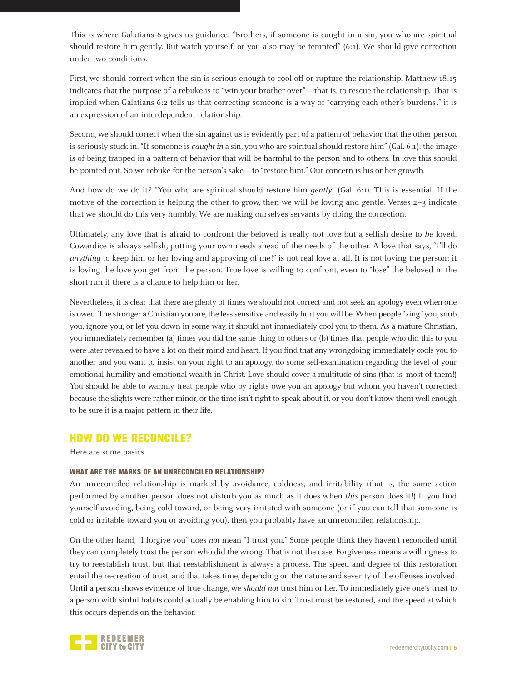This is where Galatians 6 gives us guidance. "Brothers, if someone is caught in a sin, you who are spiritual should restore him gently. But watch yourself, or you also may be tempted" (6:1). We should give correction under two conditions.

First, we should correct when the sin is serious enough to cool off or rupture the relationship. Matthew 18:15 indicates that the purpose of a rebuke is to "win your brother over"—that is, to rescue the relationship. That is implied when Galatians 6:2 tells us that correcting someone is a way of "carrying each other's burdens;" it is an expression of an interdependent relationship.

Second, we should correct when the sin against us is evidently part of a pattern of behavior that the other person is seriously stuck in. "If someone is *caught in* a sin, you who are spiritual should restore him" (Gal. 6:1): the image is of being trapped in a pattern of behavior that will be harmful to the person and to others. In love this should be pointed out. So we rebuke for the person's sake—to "restore him." Our concern is his or her growth.

And how do we do it? "You who are spiritual should restore him *gently*" (Gal. 6:1). This is essential. If the motive of the correction is helping the other to grow, then we will be loving and gentle. Verses 2–3 indicate that we should do this very humbly. We are making ourselves servants by doing the correction.

Ultimately, any love that is afraid to confront the beloved is really not love but a selfish desire to be loved. Cowardice is always selfish, putting your own needs ahead of the needs of the other. A love that says, "I'll do anything to keep him or her loving and approving of me!" is not real love at all. It is not loving the person; it is loving the love you get from the person. True love is willing to confront, even to "lose" the beloved in the short run if there is a chance to help him or her.

Nevertheless, it is clear that there are plenty of times we should not correct and not seek an apology even when one is owed. The stronger a Christian you are, the less sensitive and easily hurt you will be. When people "zing" you, snub you, ignore you, or let you down in some way, it should not immediately cool you to them. As a mature Christian, you immediately remember (a) times you did the same thing to others or (b) times that people who did this to you were later revealed to have a lot on their mind and heart. If you find that any wrongdoing immediately cools you to another and you want to insist on your right to an apology, do some self-examination regarding the level of your emotional humility and emotional wealth in Christ. Love should cover a multitude of sins (that is, most of them!) You should be able to warmly treat people who by rights owe you an apology but whom you haven't corrected because the slights were rather minor, or the time isn't right to speak about it, or you don't know them well enough to be sure it is a major pattern in their life.

## HOW DO WE RECONCILE?

Here are some basics.

#### WHAT ARE THE MARKS OF AN UNRECONCILED RELATIONSHIP?

An unreconciled relationship is marked by avoidance, coldness, and irritability (that is, the same action performed by another person does not disturb you as much as it does when this person does it!) If you find yourself avoiding, being cold toward, or being very irritated with someone (or if you can tell that someone is cold or irritable toward you or avoiding you), then you probably have an unreconciled relationship.

On the other hand, "I forgive you" does not mean "I trust you." Some people think they haven't reconciled until they can completely trust the person who did the wrong. That is not the case. Forgiveness means a willingness to try to reestablish trust, but that reestablishment is always a process. The speed and degree of this restoration entail the re-creation of trust, and that takes time, depending on the nature and severity of the offenses involved. Until a person shows evidence of true change, we should not trust him or her. To immediately give one's trust to a person with sinful habits could actually be enabling him to sin. Trust must be restored, and the speed at which this occurs depends on the behavior.

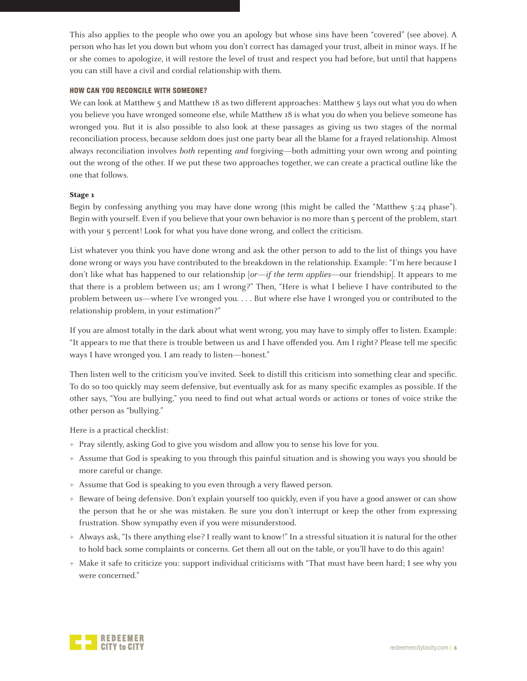This also applies to the people who owe you an apology but whose sins have been "covered" (see above). A person who has let you down but whom you don't correct has damaged your trust, albeit in minor ways. If he or she comes to apologize, it will restore the level of trust and respect you had before, but until that happens you can still have a civil and cordial relationship with them.

#### HOW CAN YOU RECONCILE WITH SOMEONE?

We can look at Matthew 5 and Matthew 18 as two different approaches: Matthew 5 lays out what you do when you believe you have wronged someone else, while Matthew 18 is what you do when you believe someone has wronged you. But it is also possible to also look at these passages as giving us two stages of the normal reconciliation process, because seldom does just one party bear all the blame for a frayed relationship. Almost always reconciliation involves both repenting and forgiving—both admitting your own wrong and pointing out the wrong of the other. If we put these two approaches together, we can create a practical outline like the one that follows.

#### **Stage 1**

Begin by confessing anything you may have done wrong (this might be called the "Matthew 5:24 phase"). Begin with yourself. Even if you believe that your own behavior is no more than 5 percent of the problem, start with your 5 percent! Look for what you have done wrong, and collect the criticism.

List whatever you think you have done wrong and ask the other person to add to the list of things you have done wrong or ways you have contributed to the breakdown in the relationship. Example: "I'm here because I don't like what has happened to our relationship  $\left[or\text{—}if\text{ the term applies}\text{—}our\text{ friendship}\right]$ . It appears to me that there is a problem between us; am I wrong?" Then, "Here is what I believe I have contributed to the problem between us—where I've wronged you. . . . But where else have I wronged you or contributed to the relationship problem, in your estimation?"

If you are almost totally in the dark about what went wrong, you may have to simply offer to listen. Example: "It appears to me that there is trouble between us and I have offended you. Am I right? Please tell me specific ways I have wronged you. I am ready to listen—honest."

Then listen well to the criticism you've invited. Seek to distill this criticism into something clear and specific. To do so too quickly may seem defensive, but eventually ask for as many specific examples as possible. If the other says, "You are bullying," you need to find out what actual words or actions or tones of voice strike the other person as "bullying."

Here is a practical checklist:

- **+** Pray silently, asking God to give you wisdom and allow you to sense his love for you.
- **+** Assume that God is speaking to you through this painful situation and is showing you ways you should be more careful or change.
- **+** Assume that God is speaking to you even through a very flawed person.
- **+** Beware of being defensive. Don't explain yourself too quickly, even if you have a good answer or can show the person that he or she was mistaken. Be sure you don't interrupt or keep the other from expressing frustration. Show sympathy even if you were misunderstood.
- **+** Always ask, "Is there anything else? I really want to know!" In a stressful situation it is natural for the other to hold back some complaints or concerns. Get them all out on the table, or you'll have to do this again!
- **+** Make it safe to criticize you: support individual criticisms with "That must have been hard; I see why you were concerned."

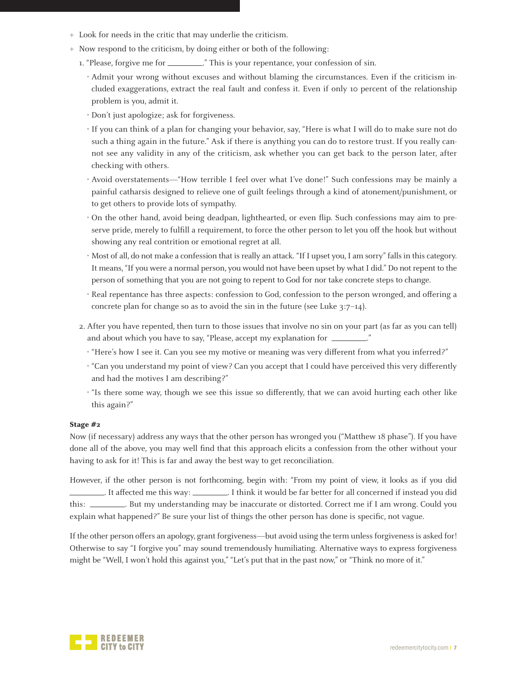- **+** Look for needs in the critic that may underlie the criticism.
- **+** Now respond to the criticism, by doing either or both of the following:
	- 1. "Please, forgive me for \_\_\_\_\_\_\_\_\_\_." This is your repentance, your confession of sin.
		- Admit your wrong without excuses and without blaming the circumstances. Even if the criticism included exaggerations, extract the real fault and confess it. Even if only 10 percent of the relationship problem is you, admit it.
		- Don't just apologize; ask for forgiveness.
		- If you can think of a plan for changing your behavior, say, "Here is what I will do to make sure not do such a thing again in the future." Ask if there is anything you can do to restore trust. If you really cannot see any validity in any of the criticism, ask whether you can get back to the person later, after checking with others.
		- Avoid overstatements—"How terrible I feel over what I've done!" Such confessions may be mainly a painful catharsis designed to relieve one of guilt feelings through a kind of atonement/punishment, or to get others to provide lots of sympathy.
		- On the other hand, avoid being deadpan, lighthearted, or even flip. Such confessions may aim to preserve pride, merely to fulfill a requirement, to force the other person to let you off the hook but without showing any real contrition or emotional regret at all.
		- Most of all, do not make a confession that is really an attack. "If I upset you, I am sorry" falls in this category. It means, "If you were a normal person, you would not have been upset by what I did." Do not repent to the person of something that you are not going to repent to God for nor take concrete steps to change.
		- Real repentance has three aspects: confession to God, confession to the person wronged, and offering a concrete plan for change so as to avoid the sin in the future (see Luke 3:7–14).
	- 2. After you have repented, then turn to those issues that involve no sin on your part (as far as you can tell) and about which you have to say, "Please, accept my explanation for  $\sqrt{ }$ 
		- "Here's how I see it. Can you see my motive or meaning was very different from what you inferred?"
		- "Can you understand my point of view? Can you accept that I could have perceived this very differently and had the motives I am describing?"
		- $\cdot$  "Is there some way, though we see this issue so differently, that we can avoid hurting each other like this again?"

#### **Stage #2**

Now (if necessary) address any ways that the other person has wronged you ("Matthew 18 phase"). If you have done all of the above, you may well find that this approach elicits a confession from the other without your having to ask for it! This is far and away the best way to get reconciliation.

However, if the other person is not forthcoming, begin with: "From my point of view, it looks as if you did . It affected me this way: . I think it would be far better for all concerned if instead you did this: . But my understanding may be inaccurate or distorted. Correct me if I am wrong. Could you explain what happened?" Be sure your list of things the other person has done is specific, not vague.

If the other person offers an apology, grant forgiveness—but avoid using the term unless forgiveness is asked for! Otherwise to say "I forgive you" may sound tremendously humiliating. Alternative ways to express forgiveness might be "Well, I won't hold this against you," "Let's put that in the past now," or "Think no more of it."

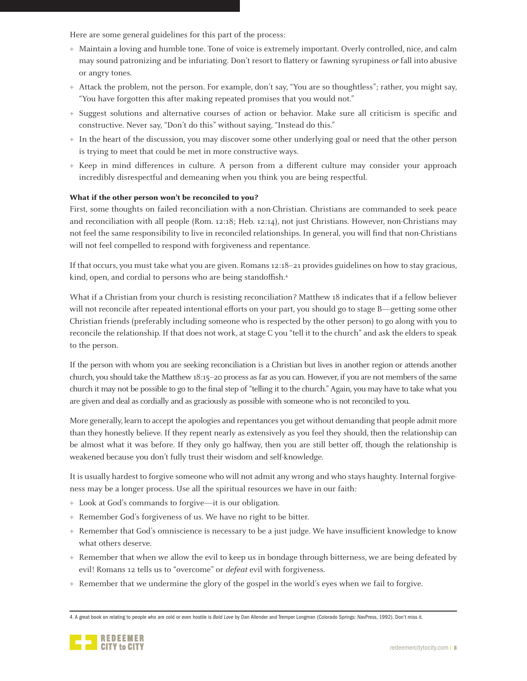Here are some general guidelines for this part of the process:

- **+** Maintain a loving and humble tone. Tone of voice is extremely important. Overly controlled, nice, and calm may sound patronizing and be infuriating. Don't resort to flattery or fawning syrupiness or fall into abusive or angry tones.
- **+** Attack the problem, not the person. For example, don't say, "You are so thoughtless"; rather, you might say, "You have forgotten this after making repeated promises that you would not."
- **+** Suggest solutions and alternative courses of action or behavior. Make sure all criticism is specific and constructive. Never say, "Don't do this" without saying, "Instead do this."
- **+** In the heart of the discussion, you may discover some other underlying goal or need that the other person is trying to meet that could be met in more constructive ways.
- **+** Keep in mind differences in culture. A person from a different culture may consider your approach incredibly disrespectful and demeaning when you think you are being respectful.

#### **What if the other person won't be reconciled to you?**

First, some thoughts on failed reconciliation with a non-Christian. Christians are commanded to seek peace and reconciliation with all people (Rom. 12:18; Heb. 12:14), not just Christians. However, non-Christians may not feel the same responsibility to live in reconciled relationships. In general, you will find that non-Christians will not feel compelled to respond with forgiveness and repentance.

If that occurs, you must take what you are given. Romans 12:18–21 provides guidelines on how to stay gracious, kind, open, and cordial to persons who are being standoffish.<sup>4</sup>

What if a Christian from your church is resisting reconciliation? Matthew 18 indicates that if a fellow believer will not reconcile after repeated intentional efforts on your part, you should go to stage B—getting some other Christian friends (preferably including someone who is respected by the other person) to go along with you to reconcile the relationship. If that does not work, at stage C you "tell it to the church" and ask the elders to speak to the person.

If the person with whom you are seeking reconciliation is a Christian but lives in another region or attends another church, you should take the Matthew 18:15–20 process as far as you can. However, if you are not members of the same church it may not be possible to go to the final step of "telling it to the church." Again, you may have to take what you are given and deal as cordially and as graciously as possible with someone who is not reconciled to you.

More generally, learn to accept the apologies and repentances you get without demanding that people admit more than they honestly believe. If they repent nearly as extensively as you feel they should, then the relationship can be almost what it was before. If they only go halfway, then you are still better off, though the relationship is weakened because you don't fully trust their wisdom and self-knowledge.

It is usually hardest to forgive someone who will not admit any wrong and who stays haughty. Internal forgiveness may be a longer process. Use all the spiritual resources we have in our faith:

- **+** Look at God's commands to forgive—it is our obligation.
- **+** Remember God's forgiveness of us. We have no right to be bitter.
- **+** Remember that God's omniscience is necessary to be a just judge. We have insufficient knowledge to know what others deserve.
- **+** Remember that when we allow the evil to keep us in bondage through bitterness, we are being defeated by evil! Romans 12 tells us to "overcome" or *defeat* evil with forgiveness.
- **+** Remember that we undermine the glory of the gospel in the world's eyes when we fail to forgive.

<sup>4.</sup> A great book on relating to people who are cold or even hostile is *Bold Love* by Dan Allender and Tremper Longman (Colorado Springs: NavPress, 1992). Don't miss it.

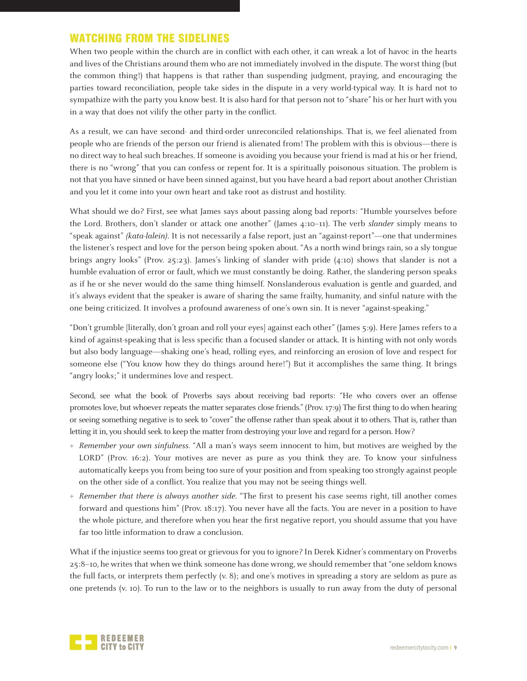# WATCHING FROM THE SIDELINES

When two people within the church are in conflict with each other, it can wreak a lot of havoc in the hearts and lives of the Christians around them who are not immediately involved in the dispute. The worst thing (but the common thing!) that happens is that rather than suspending judgment, praying, and encouraging the parties toward reconciliation, people take sides in the dispute in a very world-typical way. It is hard not to sympathize with the party you know best. It is also hard for that person not to "share" his or her hurt with you in a way that does not vilify the other party in the conflict.

As a result, we can have second- and third-order unreconciled relationships. That is, we feel alienated from people who are friends of the person our friend is alienated from! The problem with this is obvious—there is no direct way to heal such breaches. If someone is avoiding you because your friend is mad at his or her friend, there is no "wrong" that you can confess or repent for. It is a spiritually poisonous situation. The problem is not that you have sinned or have been sinned against, but you have heard a bad report about another Christian and you let it come into your own heart and take root as distrust and hostility.

What should we do? First, see what James says about passing along bad reports: "Humble yourselves before the Lord. Brothers, don't slander or attack one another" (James 4:10-11). The verb slander simply means to "speak against" (kata-lalein). It is not necessarily a false report, just an "against-report"—one that undermines the listener's respect and love for the person being spoken about. "As a north wind brings rain, so a sly tongue brings angry looks" (Prov. 25:23). James's linking of slander with pride (4:10) shows that slander is not a humble evaluation of error or fault, which we must constantly be doing. Rather, the slandering person speaks as if he or she never would do the same thing himself. Nonslanderous evaluation is gentle and guarded, and it's always evident that the speaker is aware of sharing the same frailty, humanity, and sinful nature with the one being criticized. It involves a profound awareness of one's own sin. It is never "against-speaking."

"Don't grumble [literally, don't groan and roll your eyes] against each other" (James 5:9). Here James refers to a kind of against-speaking that is less specific than a focused slander or attack. It is hinting with not only words but also body language—shaking one's head, rolling eyes, and reinforcing an erosion of love and respect for someone else ("You know how they do things around here!") But it accomplishes the same thing. It brings "angry looks;" it undermines love and respect.

Second, see what the book of Proverbs says about receiving bad reports: "He who covers over an offense promotes love, but whoever repeats the matter separates close friends." (Prov. 17:9) The first thing to do when hearing or seeing something negative is to seek to "cover" the offense rather than speak about it to others. That is, rather than letting it in, you should seek to keep the matter from destroying your love and regard for a person. How?

- **+** Remember your own sinfulness. "All a man's ways seem innocent to him, but motives are weighed by the LORD" (Prov. 16:2). Your motives are never as pure as you think they are. To know your sinfulness automatically keeps you from being too sure of your position and from speaking too strongly against people on the other side of a conflict. You realize that you may not be seeing things well.
- **+** Remember that there is always another side. "The first to present his case seems right, till another comes forward and questions him" (Prov. 18:17). You never have all the facts. You are never in a position to have the whole picture, and therefore when you hear the first negative report, you should assume that you have far too little information to draw a conclusion.

What if the injustice seems too great or grievous for you to ignore? In Derek Kidner's commentary on Proverbs 25:8–10, he writes that when we think someone has done wrong, we should remember that "one seldom knows the full facts, or interprets them perfectly (v. 8); and one's motives in spreading a story are seldom as pure as one pretends (v. 10). To run to the law or to the neighbors is usually to run away from the duty of personal